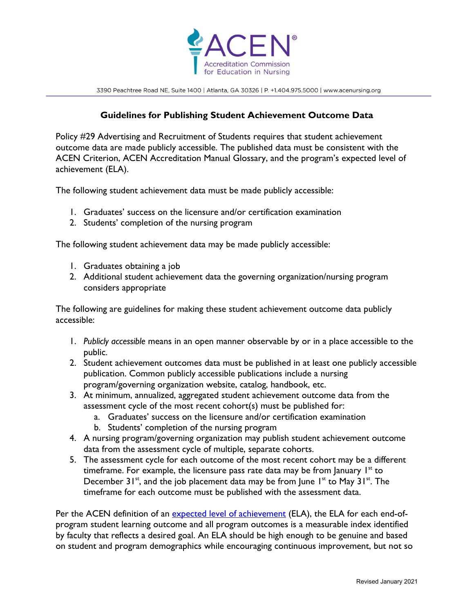

3390 Peachtree Road NE, Suite 1400 | Atlanta, GA 30326 | P. +1.404.975.5000 | www.acenursing.org

## **Guidelines for Publishing Student Achievement Outcome Data**

Policy #29 Advertising and Recruitment of Students requires that student achievement outcome data are made publicly accessible. The published data must be consistent with the ACEN Criterion, ACEN Accreditation Manual Glossary, and the program's expected level of achievement (ELA).

The following student achievement data must be made publicly accessible:

- 1. Graduates' success on the licensure and/or certification examination
- 2. Students' completion of the nursing program

The following student achievement data may be made publicly accessible:

- 1. Graduates obtaining a job
- 2. Additional student achievement data the governing organization/nursing program considers appropriate

The following are guidelines for making these student achievement outcome data publicly accessible:

- 1. *Publicly accessible* means in an open manner observable by or in a place accessible to the public.
- 2. Student achievement outcomes data must be published in at least one publicly accessible publication. Common publicly accessible publications include a nursing program/governing organization website, catalog, handbook, etc.
- 3. At minimum, annualized, aggregated student achievement outcome data from the assessment cycle of the most recent cohort(s) must be published for:
	- a. Graduates' success on the licensure and/or certification examination
	- b. Students' completion of the nursing program
- 4. A nursing program/governing organization may publish student achievement outcome data from the assessment cycle of multiple, separate cohorts.
- 5. The assessment cycle for each outcome of the most recent cohort may be a different timeframe. For example, the licensure pass rate data may be from January  $1<sup>st</sup>$  to December  $31^{st}$ , and the job placement data may be from June  $1^{st}$  to May  $31^{st}$ . The timeframe for each outcome must be published with the assessment data.

Per the ACEN definition of an expected level of achievement (ELA), the ELA for each end-ofprogram student learning outcome and all program outcomes is a measurable index identified by faculty that reflects a desired goal. An ELA should be high enough to be genuine and based on student and program demographics while encouraging continuous improvement, but not so